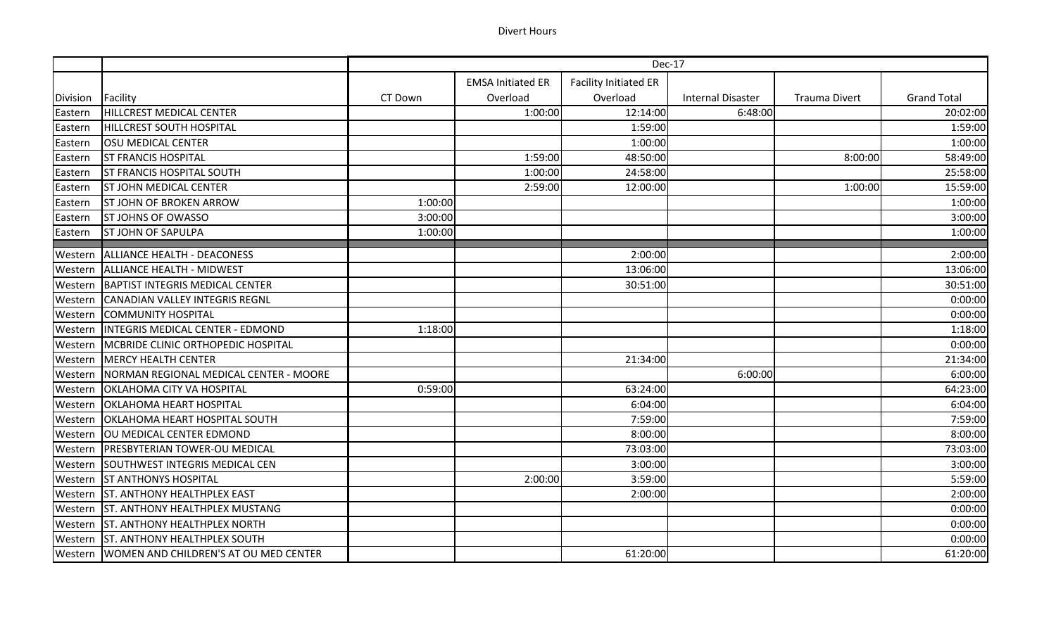## Divert Hours

|                 |                                                 | Dec-17  |                          |                              |                          |                      |                    |
|-----------------|-------------------------------------------------|---------|--------------------------|------------------------------|--------------------------|----------------------|--------------------|
|                 |                                                 |         | <b>EMSA Initiated ER</b> | <b>Facility Initiated ER</b> |                          |                      |                    |
| <b>Division</b> | Facility                                        | CT Down | Overload                 | Overload                     | <b>Internal Disaster</b> | <b>Trauma Divert</b> | <b>Grand Total</b> |
| Eastern         | HILLCREST MEDICAL CENTER                        |         | 1:00:00                  | 12:14:00                     | 6:48:00                  |                      | 20:02:00           |
| Eastern         | <b>HILLCREST SOUTH HOSPITAL</b>                 |         |                          | 1:59:00                      |                          |                      | 1:59:00            |
| Eastern         | OSU MEDICAL CENTER                              |         |                          | 1:00:00                      |                          |                      | 1:00:00            |
| Eastern         | <b>ST FRANCIS HOSPITAL</b>                      |         | 1:59:00                  | 48:50:00                     |                          | 8:00:00              | 58:49:00           |
| Eastern         | <b>ST FRANCIS HOSPITAL SOUTH</b>                |         | 1:00:00                  | 24:58:00                     |                          |                      | 25:58:00           |
| Eastern         | <b>ST JOHN MEDICAL CENTER</b>                   |         | 2:59:00                  | 12:00:00                     |                          | 1:00:00              | 15:59:00           |
| Eastern         | <b>ST JOHN OF BROKEN ARROW</b>                  | 1:00:00 |                          |                              |                          |                      | 1:00:00            |
| Eastern         | <b>ST JOHNS OF OWASSO</b>                       | 3:00:00 |                          |                              |                          |                      | 3:00:00            |
| Eastern         | <b>ST JOHN OF SAPULPA</b>                       | 1:00:00 |                          |                              |                          |                      | 1:00:00            |
| Western         | ALLIANCE HEALTH - DEACONESS                     |         |                          | 2:00:00                      |                          |                      | 2:00:00            |
| Western         | ALLIANCE HEALTH - MIDWEST                       |         |                          | 13:06:00                     |                          |                      | 13:06:00           |
| Western         | <b>BAPTIST INTEGRIS MEDICAL CENTER</b>          |         |                          | 30:51:00                     |                          |                      | 30:51:00           |
| Western         | CANADIAN VALLEY INTEGRIS REGNL                  |         |                          |                              |                          |                      | 0:00:00            |
| Western         | <b>COMMUNITY HOSPITAL</b>                       |         |                          |                              |                          |                      | 0:00:00            |
| Western         | <b>INTEGRIS MEDICAL CENTER - EDMOND</b>         | 1:18:00 |                          |                              |                          |                      | 1:18:00            |
| Western         | MCBRIDE CLINIC ORTHOPEDIC HOSPITAL              |         |                          |                              |                          |                      | 0:00:00            |
| Western         | MERCY HEALTH CENTER                             |         |                          | 21:34:00                     |                          |                      | 21:34:00           |
| Western         | NORMAN REGIONAL MEDICAL CENTER - MOORE          |         |                          |                              | 6:00:00                  |                      | 6:00:00            |
| Western         | <b>OKLAHOMA CITY VA HOSPITAL</b>                | 0:59:00 |                          | 63:24:00                     |                          |                      | 64:23:00           |
| Western         | <b>OKLAHOMA HEART HOSPITAL</b>                  |         |                          | 6:04:00                      |                          |                      | 6:04:00            |
| Western         | <b>OKLAHOMA HEART HOSPITAL SOUTH</b>            |         |                          | 7:59:00                      |                          |                      | 7:59:00            |
| Western         | OU MEDICAL CENTER EDMOND                        |         |                          | 8:00:00                      |                          |                      | 8:00:00            |
| Western         | <b>PRESBYTERIAN TOWER-OU MEDICAL</b>            |         |                          | 73:03:00                     |                          |                      | 73:03:00           |
| Western         | <b>SOUTHWEST INTEGRIS MEDICAL CEN</b>           |         |                          | 3:00:00                      |                          |                      | 3:00:00            |
| Western         | <b>ST ANTHONYS HOSPITAL</b>                     |         | 2:00:00                  | 3:59:00                      |                          |                      | 5:59:00            |
| Western         | <b>ST. ANTHONY HEALTHPLEX EAST</b>              |         |                          | 2:00:00                      |                          |                      | 2:00:00            |
| Western         | <b>ST. ANTHONY HEALTHPLEX MUSTANG</b>           |         |                          |                              |                          |                      | 0:00:00            |
| Western         | <b>ST. ANTHONY HEALTHPLEX NORTH</b>             |         |                          |                              |                          |                      | 0:00:00            |
| Western         | <b>ST. ANTHONY HEALTHPLEX SOUTH</b>             |         |                          |                              |                          |                      | 0:00:00            |
|                 | Western   WOMEN AND CHILDREN'S AT OU MED CENTER |         |                          | 61:20:00                     |                          |                      | 61:20:00           |